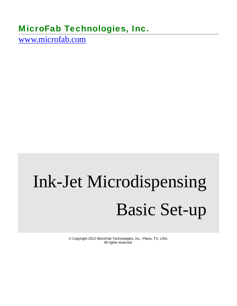# MicroFab Technologies, Inc.

www.microfab.com

# Ink-Jet Microdispensing Basic Set-up

© Copyright 2012 MicroFab Technologies, Inc., Plano, TX, USA. All rights reserved.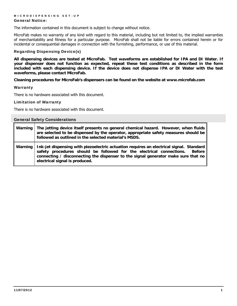#### General Notice:

The information contained in this document is subject to change without notice.

MicroFab makes no warranty of any kind with regard to this material, including but not limited to, the implied warranties of merchantability and fitness for a particular purpose. MicroFab shall not be liable for errors contained herein or for incidental or consequential damages in connection with the furnishing, performance, or use of this material.

#### Regarding Dispensing Device(s)

**All dispensing devices are tested at MicroFab. Test waveforms are established for IPA and DI Water. If your dispenser does not function as expected, repeat these test conditions as described in the form included with each dispensing device. If the device does not dispense IPA or DI Water with the test waveforms, please contact MicroFab.** 

**Cleaning procedures for MicroFab's dispensers can be found on the website at www.microfab.com** 

#### **Warranty**

There is no hardware associated with this document.

#### Limitation of Warranty

There is no hardware associated with this document.

| <b>General Safety Considerations</b> |                                                                                                                                                                                                                                                                                                          |
|--------------------------------------|----------------------------------------------------------------------------------------------------------------------------------------------------------------------------------------------------------------------------------------------------------------------------------------------------------|
| Warning                              | The jetting device itself presents no general chemical hazard. However, when fluids<br>are selected to be dispensed by the operator, appropriate safety measures should be<br>followed as outlined in the selected material's MSDS.                                                                      |
| Warning                              | Ink-jet dispensing with piezoelectric actuation requires an electrical signal. Standard<br>safety procedures should be followed for the electrical connections.<br><b>Before</b><br>connecting / disconnecting the dispenser to the signal generator make sure that no<br>electrical signal is produced. |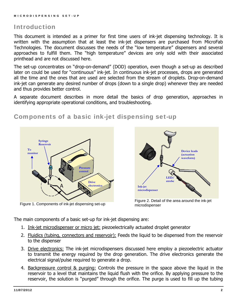# Introduction

This document is intended as a primer for first time users of ink-jet dispensing technology. It is written with the assumption that at least the ink-jet dispensers are purchased from MicroFab Technologies. The document discusses the needs of the "low temperature" dispensers and several approaches to fulfill them. The "high temperature" devices are only sold with their associated printhead and are not discussed here.

The set-up concentrates on "drop-on-demand" (DOD) operation, even though a set-up as described later on could be used for "continuous" ink-jet. In continuous ink-jet processes, drops are generated all the time and the ones that are used are selected from the stream of droplets. Drop-on-demand ink-jet can generate any desired number of drops (down to a single drop) whenever they are needed and thus provides better control.

A separate document describes in more detail the basics of drop generation, approaches in identifying appropriate operational conditions, and troubleshooting.

# **To monitor Pressure control Drive electronics Syringe Reservoir**



Figure 1. Components of ink-jet dispensing set-up Figure 2. Detail of the area around the ink-jet<br>Figure 1. Components of ink-jet dispensing set-up microdispenser microdispenser

The main components of a basic set-up for ink-jet dispensing are:

- 1. Ink-jet microdispenser or micro jet: piezoelectrically actuated droplet generator
- 2. Fluidics (tubing, connectors and reservoir): Feeds the liquid to be dispensed from the reservoir to the dispenser
- 3. Drive electronics: The ink-jet microdispensers discussed here employ a piezoelectric actuator to transmit the energy required by the drop generation. The drive electronics generate the electrical signal/pulse required to generate a drop.
- 4. Backpressure control & purging: Controls the pressure in the space above the liquid in the reservoir to a level that maintains the liquid flush with the orifice. By applying pressure to the reservoir, the solution is "purged" through the orifice. The purge is used to fill up the tubing

# Components of a basic ink-jet dispensing set-up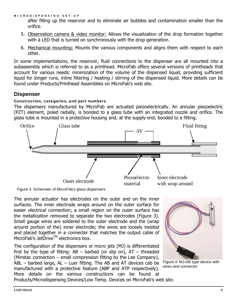after filling up the reservoir and to eliminate air bubbles and contamination smaller than the orifice.

- 5. Observation camera & video monitor: Allows the visualization of the drop formation together with a LED that is turned on synchronously with the drop generation.
- 6. Mechanical mounting: Mounts the various components and aligns them with respect to each other.

In some implementations, the reservoir, fluid connections to the dispenser are all mounted into a subassembly which is referred to as a printhead. MicroFab offers several versions of printheads that account for various needs: minimization of the volume of the dispensed liquid, providing sufficient liquid for longer runs, inline filtering / heating / stirring of the dispensed liquid. More details can be found under Products/Printhead Assemblies on MicroFab's web site.

# **Dispenser**

# Construction, categories, and part numbers

The dispensers manufactured by MicroFab are actuated piezoelectrically. An annular piezoelectric (PZT) element, poled radially, is bonded to a glass tube with an integrated nozzle and orifice. The glass tube is mounted in a protective housing and, at the supply end, bonded to a fitting.



Figure 3. Schematic of MicroFab's glass dispensers

The annular actuator has electrodes on the outer and on the inner surfaces. The inner electrode wraps around on the outer surface for easier electrical connection; a small region on the outer surface has the metallization removed to separate the two electrodes (Figure 3). Small gauge wires are soldered to the outer electrode and the (wrap around portion of the) inner electrode; the wires are loosely twisted and placed together in a connecter that matches the output cable of MicroFab's JetDrive™ electronics box.

The configuration of the dispensers or micro jets (MJ) is differentiated first by the type of fitting:  $AB -$  barbed (or slip on),  $AT -$  threaded (Minstac connection – small compression fitting by the Lee Company),  $ABL$  – barbed large,  $AL$  – Luer fitting. The AB and AT devices cab be manufactured with a protective feature (ABP and ATP respectively). More details on the various constructions can be found at Products/Microdispensing Devices/Low Temp. Devices on MicroFab's web site.



Figure 4. MJ-AB type device with wires and connector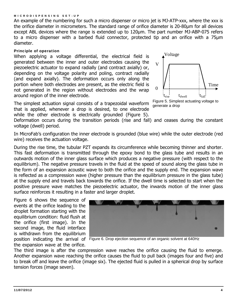An example of the numbering for such a micro dispenser or micro jet is MJ-ATP-xxx, where the xxx is the orifice diameter in micrometers. The standard range of orifice diameter is 20-80μm for all devices except ABL devices where the range is extended up to 120μm. The part number MJ-ABP-075 refers to a micro dispenser with a barbed fluid connector, protected tip and an orifice with a 75μm diameter.

#### Principle of operation

When applying a voltage differential, the electrical field is generated between the inner and outer electrodes causing the piezoelectric actuator to expand radially (and contract axially) or, depending on the voltage polarity and poling, contract radially (and expand axially). The deformation occurs only along the portion where both electrodes are present, as the electric field is not generated in the region without electrodes and the wrap around region of the inner electrode.



The simplest actuation signal consists of a trapezoidal waveform that is applied, whenever a drop is desired, to one electrode while the other electrode is electrically grounded (Figure 5).

generate a drop

Deformation occurs during the transition periods (rise and fall) and ceases during the constant voltage (dwell) period.

In MicroFab's configuration the inner electrode is grounded (blue wire) while the outer electrode (red wire) receives the actuation voltage.

During the rise time, the tubular PZT expands its circumference while becoming thinner and shorter. This fast deformation is transmitted through the epoxy bond to the glass tube and results in an outwards motion of the inner glass surface which produces a negative pressure (with respect to the equilibrium). The negative pressure travels in the fluid at the speed of sound along the glass tube in the form of an expansion acoustic wave to both the orifice and the supply end. The expansion wave is reflected as a compression wave (higher pressure than the equilibrium pressure in the glass tube) at the supply end and travels back towards the orifice. If the dwell time is selected to start when the positive pressure wave matches the piezoelectric actuator, the inwards motion of the inner glass surface reinforces it resulting in a faster and larger droplet.

Figure 6 shows the sequence of events at the orifice leading to the droplet formation starting with the equilibrium condition: fluid flush at the orifice (first image). In the second image, the fluid interface is withdrawn from the equilibrium the expansion wave at the orifice.



position indicating the arrival of Figure 6. Drop ejection sequence of an organic solvent at 640Hz

The third image is after the compression wave reaches the orifice causing the fluid to emerge. Another expansion wave reaching the orifice causes the fluid to pull back (images four and five) and to break off and leave the orifice (image six). The ejected fluid is pulled in a spherical drop by surface tension forces (image seven).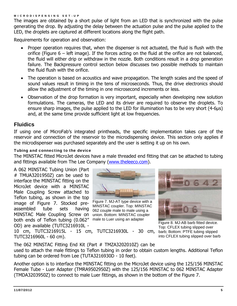The images are obtained by a short pulse of light from an LED that is synchronized with the pulse generating the drop. By adjusting the delay between the actuation pulse and the pulse applied to the LED, the droplets are captured at different locations along the flight path.

Requirements for operation and observation:

- Proper operation requires that, when the dispenser is not actuated, the fluid is flush with the orifice (Figure  $6$  – left image). If the forces acting on the fluid at the orifice are not balanced, the fluid will either drip or withdraw in the nozzle. Both conditions result in a drop generation failure. The Backpressure control section below discusses two possible methods to maintain the fluid flush with the orifice.
- The operation is based on acoustics and wave propagation. The length scales and the speed of sound values result in timing in the tens of microseconds. Thus, the drive electronics should allow the adjustment of the timing in one microsecond increments or less.
- Observation of the drop formation is very important, especially when developing new solution formulations. The cameras, the LED and its driver are required to observe the droplets. To ensure sharp images, the pulse applied to the LED for illumination has to be very short (4-6μs) and, at the same time provide sufficient light at low frequencies.

# **Fluidics**

If using one of MicroFab's integrated printheads, the specific implementation takes care of the reservoir and connection of the reservoir to the microdispensing device. This section only applies if the microdispenser was purchased separately and the user is setting it up on his own.

#### Tubing and connecting to the device

The MINSTAC fitted MicroJet devices have a male threaded end fitting that can be attached to tubing and fittings available from The Lee Company (www.theleeco.com).

A 062 MINSTAC Tubing Union (Part # TMUA3201950Z) can be used to interface the MINSTAC fitting on the MicroJet device with a MINSTAC Male Coupling Screw attached to Teflon tubing, as shown in the top image of Figure 7. Stocked preassembled tube sets having MINSTAC Male Coupling Screw on both ends of Teflon tubing (0.062" OD) are available (TUTC3216910L -

TUTC3216960L - 60 cm).



Figure 7. MJ-AT type device with a MINSTAC coupler. Top: MINSTAC 062 couple male to male using a union. Bottom: MINSTAC coupler male to Luer using an adapter<br>Figure 8. MJ-AB barb fitted device.

10 cm, TUTC3216915L - 15 cm, TUTC3216930L - 30 cm,



Top: CFLEX tubing slipped over barb; Bottom: PTFE tubing slipped into CFLEX tubing slipped over barb

The 062 MINSTAC Fitting End Kit (Part # TMZA3202010Z) can be used to attach the male fittings to Teflon tubing in order to obtain custom lengths. Additional Teflon tubing can be ordered from Lee (TUTA3216930D - 10 feet).

Another option is to interface the MINSTAC fitting on the MicroJet device using the 125/156 MINSTAC Female Tube - Luer Adapter (TMRA9502950Z) with the 125/156 MINSTAC to 062 MINSTAC Adapter (TMDA3203950Z) to connect to male Luer fittings, as shown in the bottom of the Figure 7.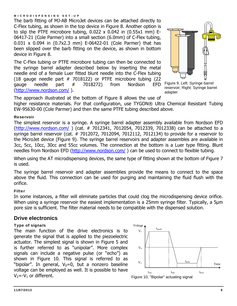The barb fitting of MJ-AB MicroJet devices can be attached directly to C-Flex tubing, as shown in the top device in Figure 8. Another option is to slip the PTFE microbore tubing, 0.022 x 0.042 in (0.55x1 mm) E-06417-21 (Cole Parmer) into a small section (6.0mm) of C-Flex tubing, 0.031 x 0.094 in (0.7x2.3 mm) E-06422-01 (Cole Parmer) that has been slipped over the barb fitting on the device, as shown in bottom device in Figure 8.

The C-Flex tubing or PTFE microbore tubing can then be connected to the syringe barrel adapter described below by inserting the metal needle end of a female Luer fitted blunt needle into the C-Flex tubing (18 gauge needle part  $#$  7018122) or PTFE microbore tubing (22 gauge needle part # 7018272) from Nordson EFD (http://www.nordson.com/ ).



Figure 9. Left: Syringe barrel reservoir; Right: Syringe barrel adapter

The approach illustrated at the bottom of Figure 8 allows the use of higher resistance materials. For that configuration, use TYGON® Ultra Chemical Resistant Tubing EW-95630-00 (Cole Parmer) and then the same PTFE tubing described above.

#### Reservoir

The simplest reservoir is a syringe. A syringe barrel adapter assembly available from Nordson EFD (http://www.nordson.com/ ) (cat. # 7012341, 7012054, 7012339, 7012338) can be attached to a syringe barrel reservoir (cat. # 7012072, 7012094, 7012112, 7012134) to provide for a reservoir to the MicroJet device (Figure 9). The syringe barrel reservoirs and adapter assembles are available in 3cc, 5cc, 10cc, 30cc and 55cc volumes. The connection at the bottom is a Luer type fitting. Blunt needles from Nordson EFD (http://www.nordson.com/) can be used to connect to flexible tubing.

When using the AT microdispensing devices, the same type of fitting shown at the bottom of Figure 7 is used.

The syringe barrel reservoir and adapter assemblies provide the means to connect to the space above the fluid. This connection can be used for purging and maintaining the fluid flush with the orifice.

#### Filter

In some instances, a filter will eliminate particles that could clog the microdispensing device orifice. When using a syringe reservoir the easiest implementation is a 25mm syringe filter. Typically, a 5um pore size is sufficient. The filter material needs to be compatible with the dispensed solution.

### **Drive electronics**

#### Type of signals

The main function of the drive electronics is to generate the signal that is applied to the piezoelectric actuator. The simplest signal is shown in Figure 5 and is further referred to as "unipolar". More complex signals can include a negative pulse (or "echo") as shown in Figure 10. This signal is referred to as "bipolar". In general,  $V_0=0$ , but a nonzero baseline voltage can be employed as well. It is possible to have  $V_2$ =- $V_1$  or different.

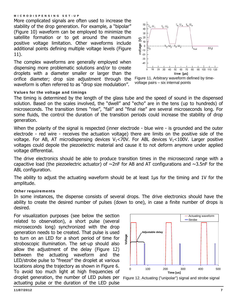More complicated signals are often used to increase the stability of the drop generation. For example, a "bipolar" (Figure 10) waveform can be employed to minimize the satellite formation or to get around the maximum positive voltage limitation. Other waveforms include additional points defining multiple voltage levels (Figure 11).

The complex waveforms are generally employed when dispensing more problematic solutions and/or to create droplets with a diameter smaller or larger than the orifice diameter; drop size adjustment through the waveform is often referred to as "drop size modulation".



Figure 11. Arbitrary waveform defined by timevoltage pairs – six internal points

#### Values for the voltage and timings

The timing is determined by the length of the glass tube and the speed of sound in the dispensed solution. Based on the scales involved, the "dwell" and "echo" are in the tens (up to hundreds) of microseconds. The transition times "rise", "fall" and "final rise" are several microseconds long. For some fluids, the control the duration of the transition periods could increase the stability of drop generation.

When the polarity of the signal is respected (inner electrode - blue wire - is grounded and the outer electrode - red wire - receives the actuation voltage) there are limits on the positive side of the voltage. For AB, AT microdispensing devices  $V_1 < 70V$ . For ABL devices  $V_1 < 100V$ . Larger positive voltages could depole the piezoelectric material and cause it to not deform anymore under applied voltage differential.

The drive electronics should be able to produce transition times in the microsecond range with a capacitive load (the piezoelectric actuator) of  $\sim$ 2nF for AB and AT configurations and  $\sim$ 3.5nF for the ABL configuration.

The ability to adjust the actuating waveform should be at least 1μs for the timing and 1V for the amplitude.

#### Other requirements

In some instances, the dispense consists of several drops. The drive electronics should have the ability to create the desired number of pulses (down to one), in case a finite number of drops is desired.

For visualization purposes (see below the section related to observation), a short pulse (several microseconds long) synchronized with the drop generation needs to be created. That pulse is used to turn on an LED for a short period of time for stroboscopic illumination. The set-up should also allow the adjustment of the delay (Figure 12) between the actuating waveform and the LED/strobe pulse to "freeze" the droplet at various locations along the trajectory as shown in Figure 6. To avoid too much light at high frequencies of droplet generation, the number of LED pulses per Figure 12. Actuating ("unipolar") signal and strobe signal actuating pulse or the duration of the LED pulse



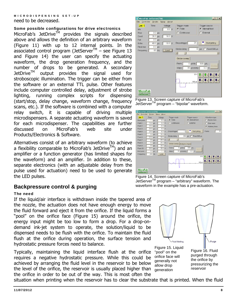#### MICRODISPENSING SET-UP need to be decreased.

#### Some possible configurations for drive electronics

MicroFab's JetDrive<sup>TM</sup> provides the signals described above and allows the definition of an arbitrary waveform (Figure 11) with up to 12 internal points. In the associated control program (JetServer<sup>™</sup> – see Figure 13 and Figure 14) the user can specify the actuating waveform, the drop generation frequency, and the number of drops to be generated. A secondary  $JetDrive^{TM}$  output provides the signal used for stroboscopic illumination. The trigger can be either from the software or an external TTL pulse. Other features include computer controlled delay, adjustment of strobe lighting, running complex scripts for dispensing (start/stop, delay change, waveform change, frequency scans, etc.). If the software is combined with a computer relay switch, it is capable of driving multiple microdispensers. A separate actuating waveform is saved for each microdispenser. The capabilities are further discussed on MicroFab's web site under Products/Electronics & Software.

Alternatives consist of an arbitrary waveform (to achieve a flexibility comparable to MicroFab's JetDrive<sup>IM</sup>) and an amplifier or a function generator (has limited shapes for the waveform) and an amplifier. In addition to these, separate electronics (with an adjustable delay from the pulse used for actuation) need to be used to generate the LED pulses.

## **Backpressure control & purging**

#### The need

If the liquid/air interface is withdrawn inside the tapered area of the nozzle, the actuation does not have enough energy to move the fluid forward and eject it from the orifice. If the liquid forms a "pool" on the orifice face (Figure 15) around the orifice, the energy input might be too low to form a drop. For a drop-ondemand ink-jet system to operate, the solution/liquid to be dispensed needs to be flush with the orifice. To maintain the fluid flush at the orifice during operation, the surface tension and hydrostatic pressure forces need to balance.

Typically, maintaining the liquid interface flush at the orifice requires a negative hydrostatic pressure. While this could be achieved by arranging the fluid level in the reservoir to be below the level of the orifice, the reservoir is usually placed higher than the orifice in order to be out of the way. This is most often the



Figure 13. Screen capture of MicroFab's JetServer<sup>™</sup> program – "bipolar" waveform.



Figure 14. Screen capture of MicroFab's JetServerTM program – "arbitrary" waveform. The waveform in the example has a pre-actuation.



allow drop generation

Figure 16. Fluid purged through pressurizing the reservoir

situation when printing when the reservoir has to clear the substrate that is printed. When the fluid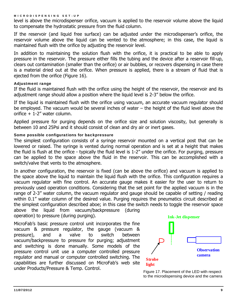level is above the microdispenser orifice, vacuum is applied to the reservoir volume above the liquid to compensate the hydrostatic pressure from the fluid column.

If the reservoir (and liquid free surface) can be adjusted under the microdispenser's orifice, the reservoir volume above the liquid can be vented to the atmosphere; in this case, the liquid is maintained flush with the orifice by adjusting the reservoir level.

In addition to maintaining the solution flush with the orifice, it is practical to be able to apply pressure in the reservoir. The pressure either fills the tubing and the device after a reservoir fill-up, clears out contamination (smaller than the orifice) or air bubbles, or recovers dispensing in case there is a material dried out at the orifice. When pressure is applied, there is a stream of fluid that is ejected from the orifice (Figure 16).

#### Adjustment range

If the fluid is maintained flush with the orifice using the height of the reservoir, the reservoir and its adjustment range should allow a position where the liquid level is 2-3" below the orifice.

If the liquid is maintained flush with the orifice using vacuum, an accurate vacuum regulator should be employed. The vacuum would be several inches of water – the height of the fluid level above the orifice + 1-2" water column.

Applied pressure for purging depends on the orifice size and solution viscosity, but generally is between 10 and 25Psi and it should consist of clean and dry air or inert gases.

#### Some possible configurations for backpressure

The simplest configuration consists of a syringe reservoir mounted on a vertical post that can be lowered or raised. The syringe is vented during normal operation and is set at a height that makes the fluid is flush at the orifice - typically the fluid level is 1-2" under the orifice. For purging, pressure can be applied to the space above the fluid in the reservoir. This can be accomplished with a switch/valve that vents to the atmosphere.

In another configuration, the reservoir is fixed (can be above the orifice) and vacuum is applied to the space above the liquid to maintain the liquid flush with the orifice. This configuration requires a vacuum regulator with fine control. An accurate gauge makes it easier for the user to return to previously used operation conditions. Considering that the set point for the applied vacuum is in the range of 2-3" water column, the vacuum regulator and gauge should be capable of setting / reading within 0.1" water column of the desired value. Purging requires the pneumatics circuit described at the simplest configuration described aboe; in this case the switch needs to toggle the reservoir space above the liquid from vacuum/backpressure (during

operation) to pressure (during purging).

MicroFab's basic pressure control unit incorporates the fine vacuum & pressure regulator, the gauge (vacuum & pressure), and a valve to switch between vacuum/backpressure to pressure for purging; adjustment and switching is done manually. Some models of the pressure control unit use a computer controlled pressure regulator and manual or computer controlled switching. The capabilities are further discussed on MicroFab's web site under Products/Pressure & Temp. Control.



Figure 17. Placement of the LED with respect to the microdispensing device and the camera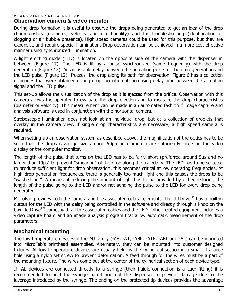## **Observation camera & video monitor**

During drop formation it is useful to observe the drops being generated to get an idea of the drop characteristics (diameter, velocity and directionality) and for troubleshooting (identification of clogging or air bubble presence). High speed cameras could be used for this purpose, but they are expensive and require special illumination. Drop observation can be achieved in a more cost effective manner using synchronized illumination.

A light emitting diode (LED) is located on the opposite side of the camera with the dispenser in between (Figure 17). The LED is lit by a pulse synchronized (same frequency) with the drop generation (Figure 12). An adjustable delay between the actuation pulse for the drop generation and the LED pulse (Figure 12) "freezes" the drop along its path for observation. Figure 6 has a collection of images that were obtained during drop formation at increasing delay time between the actuating signal and the LED pulse.

This set-up allows the visualization of the drop as it is ejected from the orifice. Observation with this camera allows the operator to evaluate the drop ejection and to measure the drop characteristics (diameter or velocity). This measurement can be made in an automated fashion if image capture and analysis software is used in conjunction with the horizontal camera.

Stroboscopic illumination does not look at an individual drop, but at a collection of droplets that overlay in the camera view. If single drop characteristics are necessary, a high speed camera is required.

When setting up an observation system as described above, the magnification of the optics has to be such that the drops (average size around 50μm in diameter) are sufficiently large on the video display or the computer monitor.

The length of the pulse that turns on the LED has to be fairly short (preferred around 5μs and no larger than 10μs) to prevent "smearing" of the drop along the trajectory. The LED has to be selected to produce sufficient light for drop observation; this becomes critical at low operating frequencies. At high drop generation frequencies, there is generally too much light and this causes the drops to be "washed out". A means of reducing the amount of light has to be provided by either reducing the length of the pulse going to the LED and/or not sending the pulse to the LED for every drop being generated.

MicroFab provides both the camera and the associated optical elements. The JetDrive<sup>TM</sup> has a built-in output for the LED with the delay being controlled in the software and directly through a knob on the box. JetDrive<sup>TM</sup> comes with all the associated cables and the LED. Other related equipment includes a video capture board and an image analysis program that allow automatic measurement of the drop parameters.

# **Mechanical mounting**

The low temperature devices in the MJ family (-AB, -AT, -ABP, -ATP, -ABL and -AL) can be mounted into MicroFab's printhead assemblies. Alternately, they can be mounted into customer designed fixtures. All low temperature devices are usually held by the cylindrical section in a small clearance hole using a nylon set screw to prevent deformation. A feed through for the wires must be a part of the mounting fixture. The wires come out at the center of the cylindrical section of each device type.

If -AL devices are connected directly to a syringe (their fluidic connection is a Luer fitting) it is recommended to hold the syringe barrel and not the dispenser to prevent damage due to the leverage introduced by the syringe. The ending on the protected tip devices provides the advantage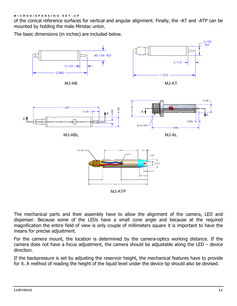of the conical reference surfaces for vertical and angular alignment. Finally, the -AT and -ATP can be mounted by holding the male Minstac union.

The basic dimensions (in inches) are included below.



The mechanical parts and their assembly have to allow the alignment of the camera, LED and dispenser. Because some of the LEDs have a small cone angle and because at the required magnification the entire field of view is only couple of millimeters square it is important to have the means for precise adjustment.

For the camera mount, the location is determined by the camera-optics working distance. If the camera does not have a focus adjustment, the camera should be adjustable along the LED – device direction.

If the backpressure is set by adjusting the reservoir height, the mechanical features have to provide for it. A method of reading the height of the liquid level under the device tip should also be devised.